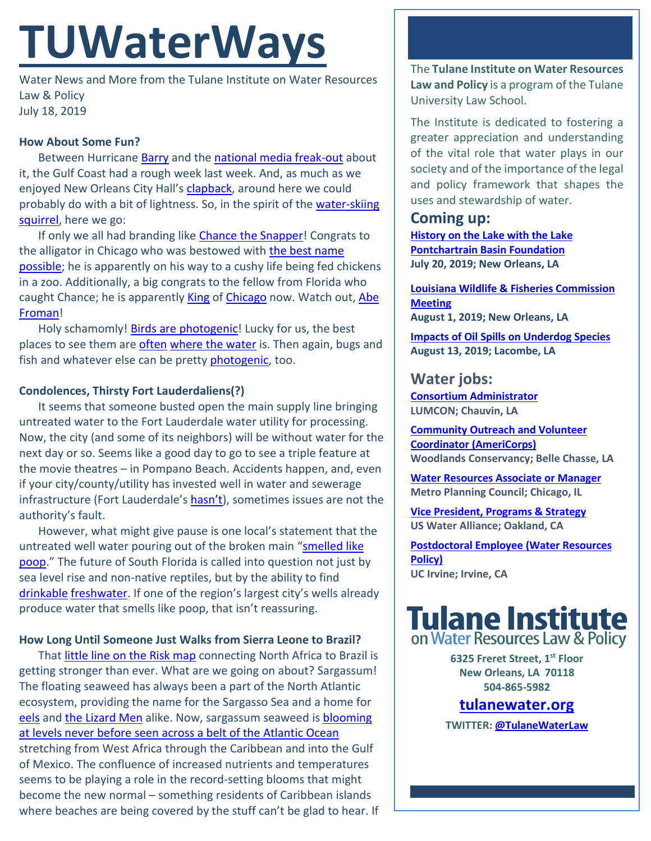# **TUWaterWays**

Water News and More from the Tulane Institute on Water Resources Law & Policy July 18, 2019

#### **How About Some Fun?**

Between Hurricane **Barry** and the [national media freak-out](https://www.theadvocate.com/gambit/new_orleans/news/commentary/article_3c20beaa-a7cf-11e9-b54c-af21e9e9ac8f.html) about it, the Gulf Coast had a rough week last week. And, as much as we enjoyed New Orleans City Hall's [clapback,](https://twitter.com/CityOfNOLA/status/1149802046977187841) around here we could probably do with a bit of lightness. So, in the spirit of the [water-skiing](https://www.youtube.com/watch?v=LExQXGCtz4Y)  [squirrel,](https://www.youtube.com/watch?v=LExQXGCtz4Y) here we go:

If only we all had branding like [Chance the Snapper!](https://www.nytimes.com/2019/07/16/us/alligator-chicago-chance-snapper.html) Congrats to the alligator in Chicago who was bestowed with the best name [possible;](https://wgntv.com/2019/07/17/chance-the-rapper-reacts-to-humboldt-park-alligators-nickname-chance-the-snapper/) he is apparently on his way to a cushy life being fed chickens in a zoo. Additionally, a big congrats to the fellow from Florida who caught Chance; he is apparently [King](https://wgntv.com/2019/07/16/florida-man-alligator-robb-who-caught-humboldt-park-gator-throws-first-pitch-at-cubs-game/) of [Chicago](https://wgntv.com/2019/07/17/the-man-who-caught-the-humboldt-park-alligator-will-turn-on-buckingham-fountain-today/) now. Watch out, Abe [Froman!](https://www.youtube.com/watch?v=7HNd3qz68Zw)

Holy schamomly! [Birds are photogenic!](https://gizmodo.com/a-blackbird-blowing-smoke-rings-wins-top-prize-at-the-2-1836308346) Lucky for us, the best places to see them are [often](https://www.dailycomet.com/news/20190329/this-coastal-project-is-for-birds) [where the water](https://soundingsmag.net/2019/04/19/birding-and-living-in-the-delta/) is. Then again, bugs and fish and whatever else can be pretty **photogenic**, too.

### **Condolences, Thirsty Fort Lauderdaliens(?)**

It seems that someone busted open the main supply line bringing untreated water to the Fort Lauderdale water utility for processing. Now, the city (and some of its neighbors) will be without water for the next day or so. Seems like a good day to go to see a triple feature at the movie theatres – in Pompano Beach. Accidents happen, and, even if your city/county/utility has invested well in water and sewerage infrastructure (Fort Lauderdale's [hasn't\)](https://www.sun-sentinel.com/search/boil+water/100-y/ALL/score/1/?), sometimes issues are not the authority's fault.

However, what might give pause is one local's statement that the untreated well water pouring out of the broken main ["smelled like](https://www.sun-sentinel.com/local/broward/fort-lauderdale/fl-ne-water-main-break-cuts-service-20190718-5vfpmg76gfg3hnjcycgryt3sua-story.html)  [poop.](https://www.sun-sentinel.com/local/broward/fort-lauderdale/fl-ne-water-main-break-cuts-service-20190718-5vfpmg76gfg3hnjcycgryt3sua-story.html)" The future of South Florida is called into question not just by sea level rise and non-native reptiles, but by the ability to find [drinkable](https://www.bloomberg.com/news/features/2018-08-29/miami-s-other-water-problem) [freshwater.](https://earthjustice.org/sites/default/files/ValuingFloridasCleanWaters.pdf) If one of the region's largest city's wells already produce water that smells like poop, that isn't reassuring.

#### **How Long Until Someone Just Walks from Sierra Leone to Brazil?**

Tha[t little line on the Risk map](https://www.mastersofgames.com/images/board-mod-classic/risk-refresh-2016-components-lg.jpg) connecting North Africa to Brazil is getting stronger than ever. What are we going on about? Sargassum! The floating seaweed has always been a part of the North Atlantic ecosystem, providing the name for the Sargasso Sea and a home for [eels](https://phys.org/news/2019-04-european-eel-spawn-km-wide.html) and [the Lizard Men](https://vimeo.com/171184788) alike. Now, sargassum seaweed is blooming [at levels never before seen across a belt of the Atlantic Ocean](https://www.theguardian.com/environment/2019/jul/04/sargasso-seaweed-5500-mile-algae-belt-keeps-on-growing) stretching from West Africa through the Caribbean and into the Gulf of Mexico. The confluence of increased nutrients and temperatures seems to be playing a role in the record-setting blooms that might become the new normal – something residents of Caribbean islands where beaches are being covered by the stuff can't be glad to hear. If The **Tulane Institute on Water Resources Law and Policy** is a program of the Tulane University Law School.

The Institute is dedicated to fostering a greater appreciation and understanding of the vital role that water plays in our society and of the importance of the legal and policy framework that shapes the uses and stewardship of water.

# **Coming up:**

**[History on the Lake with the Lake](https://www.facebook.com/events/2331339337108844/)  [Pontchartrain Basin Foundation](https://www.facebook.com/events/2331339337108844/) July 20, 2019; New Orleans, LA**

**[Louisiana Wildlife & Fisheries Commission](https://www.facebook.com/events/231954827750096/)  [Meeting](https://www.facebook.com/events/231954827750096/) August 1, 2019; New Orleans, LA**

**[Impacts of Oil Spills on Underdog Species](https://gulfseagrant.org/oilspilloutreach/presentations/underdogs-and-oil-impacts-recovery-and-restoration/) August 13, 2019; Lacombe, LA**

## **Water jobs:**

**[Consortium Administrator](https://www.governmentjobs.com/careers/louisiana/jobs/2319809/consortium-administrator) LUMCON; Chauvin, LA**

**[Community Outreach and Volunteer](https://worknola.com/job/322323)  [Coordinator \(AmeriCorps\)](https://worknola.com/job/322323) Woodlands Conservancy; Belle Chasse, LA** 

**[Water Resources Associate or Manager](https://www.metroplanning.org/about/Employment0.html) Metro Planning Council; Chicago, IL**

**[Vice President, Programs & Strategy](https://job.ceaconsulting.com/jobs/vice-president-programs-strategy-oakland-ca-105077) US Water Alliance; Oakland, CA**

**[Postdoctoral Employee \(Water Resources](https://recruit.ap.uci.edu/JPF05512)  [Policy\)](https://recruit.ap.uci.edu/JPF05512) UC Irvine; Irvine, CA**



**6325 Freret Street, 1st Floor New Orleans, LA 70118 504-865-5982** 

## **tulanewater.org**

**TWITTER[: @TulaneWaterLaw](http://www.twitter.com/TulaneWaterLaw)**